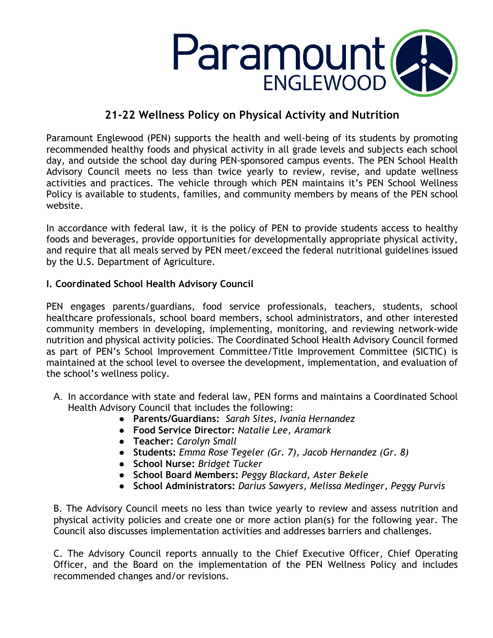

# **21-22 Wellness Policy on Physical Activity and Nutrition**

Paramount Englewood (PEN) supports the health and well-being of its students by promoting recommended healthy foods and physical activity in all grade levels and subjects each school day, and outside the school day during PEN-sponsored campus events. The PEN School Health Advisory Council meets no less than twice yearly to review, revise, and update wellness activities and practices. The vehicle through which PEN maintains it's PEN School Wellness Policy is available to students, families, and community members by means of the PEN school website.

In accordance with federal law, it is the policy of PEN to provide students access to healthy foods and beverages, provide opportunities for developmentally appropriate physical activity, and require that all meals served by PEN meet/exceed the federal nutritional guidelines issued by the U.S. Department of Agriculture.

# **I. Coordinated School Health Advisory Council**

PEN engages parents/guardians, food service professionals, teachers, students, school healthcare professionals, school board members, school administrators, and other interested community members in developing, implementing, monitoring, and reviewing network-wide nutrition and physical activity policies. The Coordinated School Health Advisory Council formed as part of PEN's School Improvement Committee/Title Improvement Committee (SICTIC) is maintained at the school level to oversee the development, implementation, and evaluation of the school's wellness policy.

- A. In accordance with state and federal law, PEN forms and maintains a Coordinated School Health Advisory Council that includes the following:
	- **Parents/Guardians:** *Sarah Sites, Ivania Hernandez*
	- **Food Service Director:** *Natalie Lee, Aramark*
	- **Teacher:** *Carolyn Small*
	- **Students:** *Emma Rose Tegeler (Gr. 7), Jacob Hernandez (Gr. 8)*
	- **School Nurse:** *Bridget Tucker*
	- **School Board Members:** *Peggy Blackard, Aster Bekele*
	- **School Administrators:** *Darius Sawyers, Melissa Medinger, Peggy Purvis*

B. The Advisory Council meets no less than twice yearly to review and assess nutrition and physical activity policies and create one or more action plan(s) for the following year. The Council also discusses implementation activities and addresses barriers and challenges.

C. The Advisory Council reports annually to the Chief Executive Officer, Chief Operating Officer, and the Board on the implementation of the PEN Wellness Policy and includes recommended changes and/or revisions.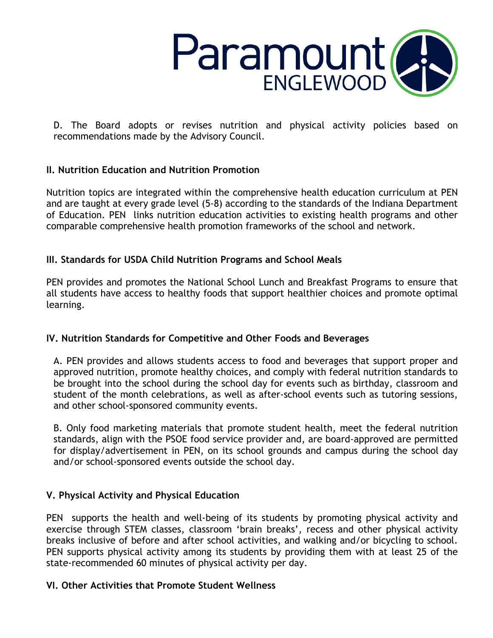

D. The Board adopts or revises nutrition and physical activity policies based on recommendations made by the Advisory Council.

# **II. Nutrition Education and Nutrition Promotion**

Nutrition topics are integrated within the comprehensive health education curriculum at PEN and are taught at every grade level (5-8) according to the standards of the Indiana Department of Education. PEN links nutrition education activities to existing health programs and other comparable comprehensive health promotion frameworks of the school and network.

# **III. Standards for USDA Child Nutrition Programs and School Meals**

PEN provides and promotes the National School Lunch and Breakfast Programs to ensure that all students have access to healthy foods that support healthier choices and promote optimal learning.

#### **IV. Nutrition Standards for Competitive and Other Foods and Beverages**

A. PEN provides and allows students access to food and beverages that support proper and approved nutrition, promote healthy choices, and comply with federal nutrition standards to be brought into the school during the school day for events such as birthday, classroom and student of the month celebrations, as well as after-school events such as tutoring sessions, and other school-sponsored community events.

B. Only food marketing materials that promote student health, meet the federal nutrition standards, align with the PSOE food service provider and, are board-approved are permitted for display/advertisement in PEN, on its school grounds and campus during the school day and/or school-sponsored events outside the school day.

#### **V. Physical Activity and Physical Education**

PEN supports the health and well-being of its students by promoting physical activity and exercise through STEM classes, classroom 'brain breaks', recess and other physical activity breaks inclusive of before and after school activities, and walking and/or bicycling to school. PEN supports physical activity among its students by providing them with at least 25 of the state-recommended 60 minutes of physical activity per day.

#### **VI. Other Activities that Promote Student Wellness**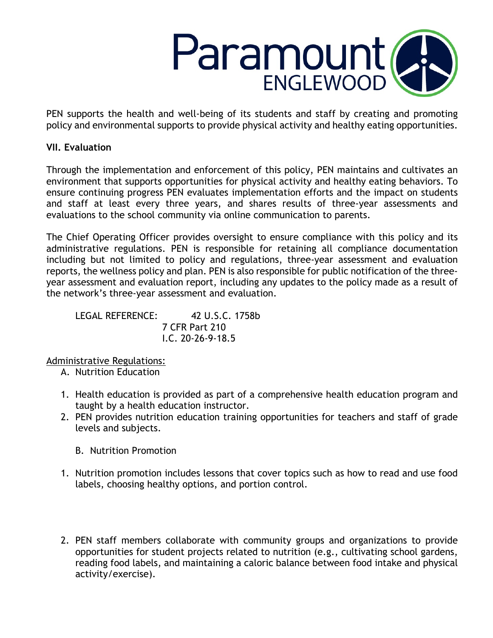

PEN supports the health and well-being of its students and staff by creating and promoting policy and environmental supports to provide physical activity and healthy eating opportunities.

# **VII. Evaluation**

Through the implementation and enforcement of this policy, PEN maintains and cultivates an environment that supports opportunities for physical activity and healthy eating behaviors. To ensure continuing progress PEN evaluates implementation efforts and the impact on students and staff at least every three years, and shares results of three-year assessments and evaluations to the school community via online communication to parents.

The Chief Operating Officer provides oversight to ensure compliance with this policy and its administrative regulations. PEN is responsible for retaining all compliance documentation including but not limited to policy and regulations, three-year assessment and evaluation reports, the wellness policy and plan. PEN is also responsible for public notification of the threeyear assessment and evaluation report, including any updates to the policy made as a result of the network's three-year assessment and evaluation.

LEGAL REFERENCE: 42 U.S.C. 1758b 7 CFR Part 210 I.C. 20-26-9-18.5

#### Administrative Regulations:

- A. Nutrition Education
- 1. Health education is provided as part of a comprehensive health education program and taught by a health education instructor.
- 2. PEN provides nutrition education training opportunities for teachers and staff of grade levels and subjects.
	- B. Nutrition Promotion
- 1. Nutrition promotion includes lessons that cover topics such as how to read and use food labels, choosing healthy options, and portion control.
- 2. PEN staff members collaborate with community groups and organizations to provide opportunities for student projects related to nutrition (e.g., cultivating school gardens, reading food labels, and maintaining a caloric balance between food intake and physical activity/exercise).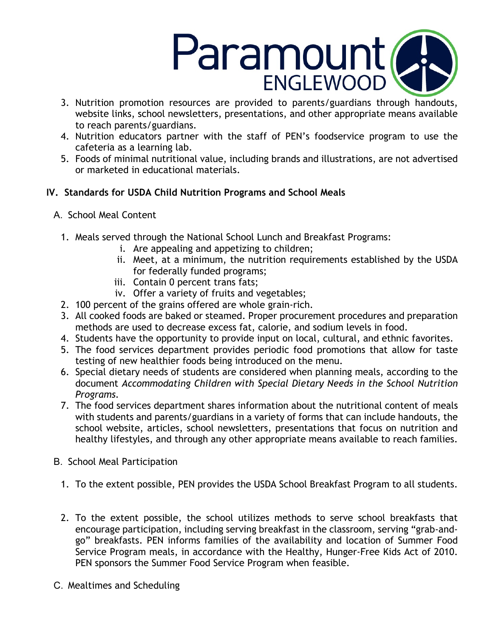

- 3. Nutrition promotion resources are provided to parents/guardians through handouts, website links, school newsletters, presentations, and other appropriate means available to reach parents/guardians.
- 4. Nutrition educators partner with the staff of PEN's foodservice program to use the cafeteria as a learning lab.
- 5. Foods of minimal nutritional value, including brands and illustrations, are not advertised or marketed in educational materials.

# **IV. Standards for USDA Child Nutrition Programs and School Meals**

- A. School Meal Content
	- 1. Meals served through the National School Lunch and Breakfast Programs:
		- i. Are appealing and appetizing to children;
		- ii. Meet, at a minimum, the nutrition requirements established by the USDA for federally funded programs;
		- iii. Contain 0 percent trans fats;
		- iv. Offer a variety of fruits and vegetables;
	- 2. 100 percent of the grains offered are whole grain-rich.
	- 3. All cooked foods are baked or steamed. Proper procurement procedures and preparation methods are used to decrease excess fat, calorie, and sodium levels in food.
	- 4. Students have the opportunity to provide input on local, cultural, and ethnic favorites.
	- 5. The food services department provides periodic food promotions that allow for taste testing of new healthier foods being introduced on the menu.
	- 6. Special dietary needs of students are considered when planning meals, according to the document *Accommodating Children with Special Dietary Needs in the School Nutrition Programs.*
	- 7. The food services department shares information about the nutritional content of meals with students and parents/guardians in a variety of forms that can include handouts, the school website, articles, school newsletters, presentations that focus on nutrition and healthy lifestyles, and through any other appropriate means available to reach families.
- B. School Meal Participation
	- 1. To the extent possible, PEN provides the USDA School Breakfast Program to all students.
	- 2. To the extent possible, the school utilizes methods to serve school breakfasts that encourage participation, including serving breakfast in the classroom, serving "grab-andgo" breakfasts. PEN informs families of the availability and location of Summer Food Service Program meals, in accordance with the Healthy, Hunger-Free Kids Act of 2010. PEN sponsors the Summer Food Service Program when feasible.
- C. Mealtimes and Scheduling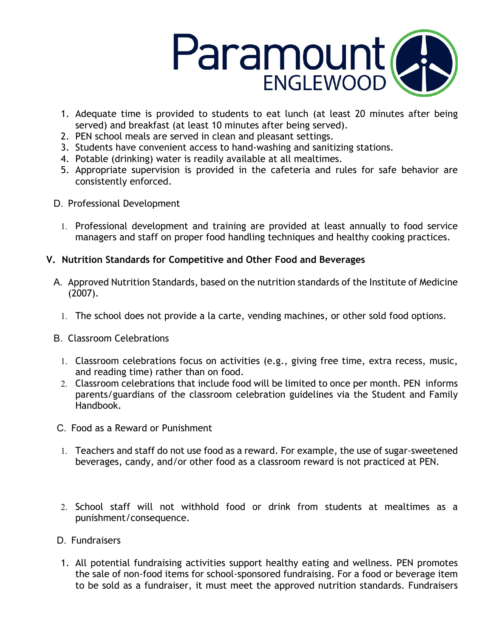

- 1. Adequate time is provided to students to eat lunch (at least 20 minutes after being served) and breakfast (at least 10 minutes after being served).
- 2. PEN school meals are served in clean and pleasant settings.
- 3. Students have convenient access to hand-washing and sanitizing stations.
- 4. Potable (drinking) water is readily available at all mealtimes.
- 5. Appropriate supervision is provided in the cafeteria and rules for safe behavior are consistently enforced.
- D. Professional Development
	- 1. Professional development and training are provided at least annually to food service managers and staff on proper food handling techniques and healthy cooking practices.

# **V. Nutrition Standards for Competitive and Other Food and Beverages**

- A. Approved Nutrition Standards, based on the nutrition standards of the Institute of Medicine (2007).
	- 1. The school does not provide a la carte, vending machines, or other sold food options.
- B. Classroom Celebrations
	- 1. Classroom celebrations focus on activities (e.g., giving free time, extra recess, music, and reading time) rather than on food.
	- 2. Classroom celebrations that include food will be limited to once per month. PEN informs parents/guardians of the classroom celebration guidelines via the Student and Family Handbook.
- C. Food as a Reward or Punishment
- 1. Teachers and staff do not use food as a reward. For example, the use of sugar-sweetened beverages, candy, and/or other food as a classroom reward is not practiced at PEN.
- 2. School staff will not withhold food or drink from students at mealtimes as a punishment/consequence.
- D. Fundraisers
- 1. All potential fundraising activities support healthy eating and wellness. PEN promotes the sale of non-food items for school-sponsored fundraising. For a food or beverage item to be sold as a fundraiser, it must meet the approved nutrition standards. Fundraisers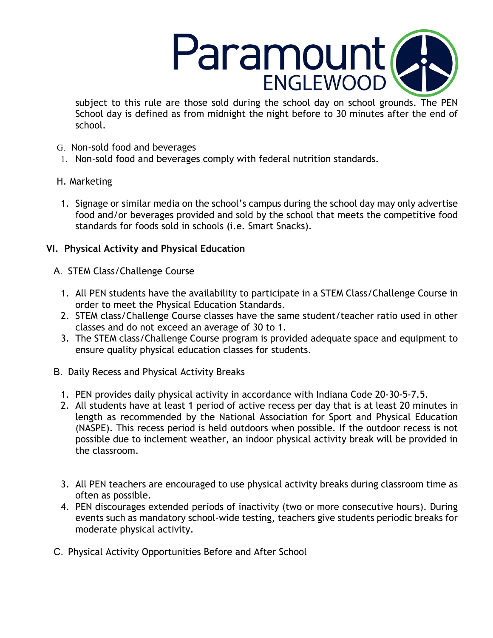

subject to this rule are those sold during the school day on school grounds. The PEN School day is defined as from midnight the night before to 30 minutes after the end of school.

- G. Non-sold food and beverages
- 1. Non-sold food and beverages comply with federal nutrition standards.

# H. Marketing

1. Signage or similar media on the school's campus during the school day may only advertise food and/or beverages provided and sold by the school that meets the competitive food standards for foods sold in schools (i.e. Smart Snacks).

# **VI. Physical Activity and Physical Education**

- A. STEM Class/Challenge Course
	- 1. All PEN students have the availability to participate in a STEM Class/Challenge Course in order to meet the Physical Education Standards.
	- 2. STEM class/Challenge Course classes have the same student/teacher ratio used in other classes and do not exceed an average of 30 to 1.
	- 3. The STEM class/Challenge Course program is provided adequate space and equipment to ensure quality physical education classes for students.
- B. Daily Recess and Physical Activity Breaks
	- 1. PEN provides daily physical activity in accordance with Indiana Code 20-30-5-7.5.
	- 2. All students have at least 1 period of active recess per day that is at least 20 minutes in length as recommended by the National Association for Sport and Physical Education (NASPE). This recess period is held outdoors when possible. If the outdoor recess is not possible due to inclement weather, an indoor physical activity break will be provided in the classroom.
	- 3. All PEN teachers are encouraged to use physical activity breaks during classroom time as often as possible.
	- 4. PEN discourages extended periods of inactivity (two or more consecutive hours). During events such as mandatory school-wide testing, teachers give students periodic breaks for moderate physical activity.
- C. Physical Activity Opportunities Before and After School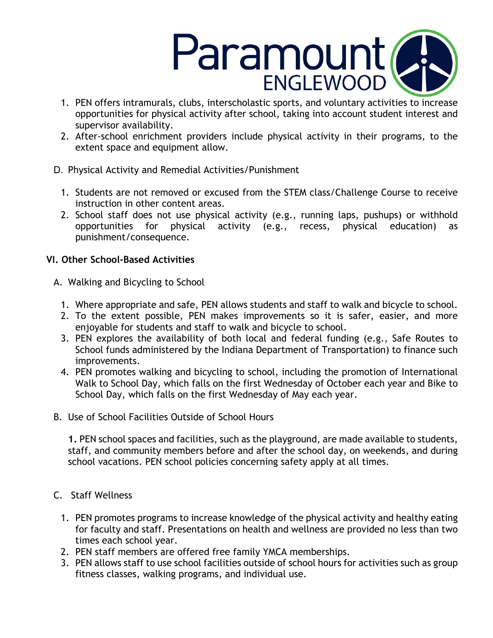

- 1. PEN offers intramurals, clubs, interscholastic sports, and voluntary activities to increase opportunities for physical activity after school, taking into account student interest and supervisor availability.
- 2. After-school enrichment providers include physical activity in their programs, to the extent space and equipment allow.
- D. Physical Activity and Remedial Activities/Punishment
	- 1. Students are not removed or excused from the STEM class/Challenge Course to receive instruction in other content areas.
	- 2. School staff does not use physical activity (e.g., running laps, pushups) or withhold opportunities for physical activity (e.g., recess, physical education) as punishment/consequence.

# **VI. Other School-Based Activities**

- A. Walking and Bicycling to School
	- 1. Where appropriate and safe, PEN allows students and staff to walk and bicycle to school.
	- 2. To the extent possible, PEN makes improvements so it is safer, easier, and more enjoyable for students and staff to walk and bicycle to school.
	- 3. PEN explores the availability of both local and federal funding (e.g., Safe Routes to School funds administered by the Indiana Department of Transportation) to finance such improvements.
	- 4. PEN promotes walking and bicycling to school, including the promotion of International Walk to School Day, which falls on the first Wednesday of October each year and Bike to School Day, which falls on the first Wednesday of May each year.
- B. Use of School Facilities Outside of School Hours

**1.** PEN school spaces and facilities, such as the playground, are made available to students, staff, and community members before and after the school day, on weekends, and during school vacations. PEN school policies concerning safety apply at all times.

- C. Staff Wellness
	- 1. PEN promotes programs to increase knowledge of the physical activity and healthy eating for faculty and staff. Presentations on health and wellness are provided no less than two times each school year.
	- 2. PEN staff members are offered free family YMCA memberships.
	- 3. PEN allows staff to use school facilities outside of school hours for activities such as group fitness classes, walking programs, and individual use.